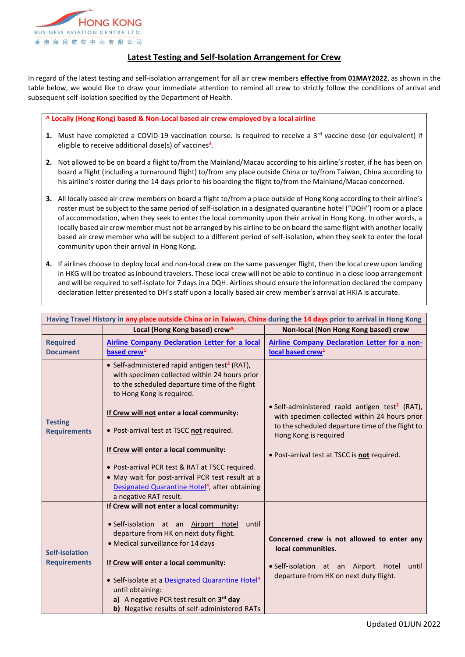

## **Latest Testing and Self-Isolation Arrangement for Crew**

In regard of the latest testing and self-isolation arrangement for all air crew members **effective from 01MAY2022**, as shown in the table below, we would like to draw your immediate attention to remind all crew to strictly follow the conditions of arrival and subsequent self-isolation specified by the Department of Health.

## **^ Locally (Hong Kong) based & Non-Local based air crew employed by a local airline**

- **1.** Must have completed a COVID-19 vaccination course. Is required to receive a  $3<sup>rd</sup>$  vaccine dose (or equivalent) if eligible to receive additional dose(s) of vaccines**<sup>3</sup>** .
- **2.** Not allowed to be on board a flight to/from the Mainland/Macau according to his airline's roster, if he has been on board a flight (including a turnaround flight) to/from any place outside China or to/from Taiwan, China according to his airline's roster during the 14 days prior to his boarding the flight to/from the Mainland/Macao concerned.
- **3.** All locally based air crew members on board a flight to/from a place outside of Hong Kong according to their airline's roster must be subject to the same period of self-isolation in a designated quarantine hotel ("DQH") room or a place of accommodation, when they seek to enter the local community upon their arrival in Hong Kong. In other words, a locally based air crew member must not be arranged by his airline to be on board the same flight with another locally based air crew member who will be subject to a different period of self-isolation, when they seek to enter the local community upon their arrival in Hong Kong.
- **4.** If airlines choose to deploy local and non-local crew on the same passenger flight, then the local crew upon landing in HKG will be treated as inbound travelers. These local crew will not be able to continue in a close loop arrangement and will be required to self-isolate for 7 days in a DQH. Airlines should ensure the information declared the company declaration letter presented to DH's staff upon a locally based air crew member's arrival at HKIA is accurate.

| Having Travel History in any place outside China or in Taiwan, China during the 14 days prior to arrival in Hong Kong |                                                                                                                                                                                           |                                                                                                                                                                                          |  |
|-----------------------------------------------------------------------------------------------------------------------|-------------------------------------------------------------------------------------------------------------------------------------------------------------------------------------------|------------------------------------------------------------------------------------------------------------------------------------------------------------------------------------------|--|
|                                                                                                                       | Local (Hong Kong based) crew^                                                                                                                                                             | Non-local (Non Hong Kong based) crew                                                                                                                                                     |  |
| <b>Required</b><br><b>Document</b>                                                                                    | <b>Airline Company Declaration Letter for a local</b><br>based crew <sup>1</sup>                                                                                                          | <b>Airline Company Declaration Letter for a non-</b><br>local based crew <sup>1</sup>                                                                                                    |  |
| <b>Testing</b><br><b>Requirements</b>                                                                                 | • Self-administered rapid antigen test <sup>2</sup> (RAT),<br>with specimen collected within 24 hours prior<br>to the scheduled departure time of the flight<br>to Hong Kong is required. |                                                                                                                                                                                          |  |
|                                                                                                                       | If Crew will not enter a local community:<br>• Post-arrival test at TSCC not required.                                                                                                    | • Self-administered rapid antigen test <sup>2</sup> (RAT),<br>with specimen collected within 24 hours prior<br>to the scheduled departure time of the flight to<br>Hong Kong is required |  |
|                                                                                                                       | If Crew will enter a local community:                                                                                                                                                     | . Post-arrival test at TSCC is not required.                                                                                                                                             |  |
|                                                                                                                       | • Post-arrival PCR test & RAT at TSCC required.                                                                                                                                           |                                                                                                                                                                                          |  |
|                                                                                                                       | • May wait for post-arrival PCR test result at a<br>Designated Quarantine Hotel <sup>4</sup> , after obtaining<br>a negative RAT result.                                                  |                                                                                                                                                                                          |  |
|                                                                                                                       | If Crew will not enter a local community:                                                                                                                                                 |                                                                                                                                                                                          |  |
| <b>Self-isolation</b><br><b>Requirements</b>                                                                          | · Self-isolation at an Airport Hotel<br>until<br>departure from HK on next duty flight.<br>• Medical surveillance for 14 days                                                             | Concerned crew is not allowed to enter any<br>local communities.                                                                                                                         |  |
|                                                                                                                       | If Crew will enter a local community:                                                                                                                                                     | · Self-isolation at an Airport Hotel<br>until                                                                                                                                            |  |
|                                                                                                                       | • Self-isolate at a Designated Quarantine Hotel <sup>4</sup><br>until obtaining:                                                                                                          | departure from HK on next duty flight.                                                                                                                                                   |  |
|                                                                                                                       | a) A negative PCR test result on 3rd day                                                                                                                                                  |                                                                                                                                                                                          |  |
|                                                                                                                       | b) Negative results of self-administered RATs                                                                                                                                             |                                                                                                                                                                                          |  |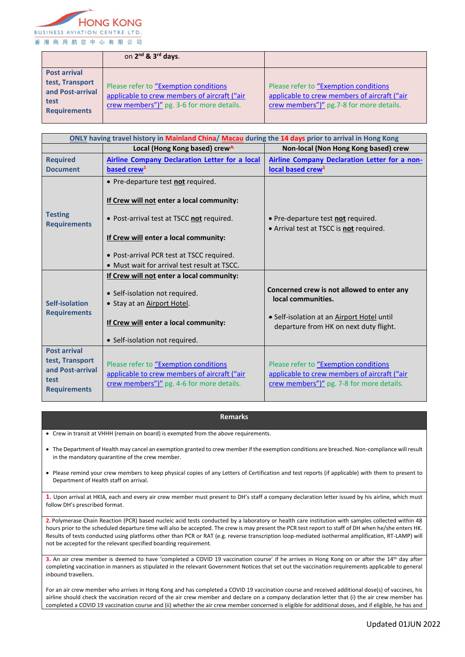

|                                                                                           | on 2 <sup>nd</sup> & 3 <sup>rd</sup> days.                                                                                          |                                                                                                                                    |
|-------------------------------------------------------------------------------------------|-------------------------------------------------------------------------------------------------------------------------------------|------------------------------------------------------------------------------------------------------------------------------------|
| <b>Post arrival</b><br>test, Transport<br>and Post-arrival<br>test<br><b>Requirements</b> | Please refer to "Exemption conditions"<br>applicable to crew members of aircraft ("air<br>crew members")" pg. 3-6 for more details. | Please refer to "Exemption conditions"<br>applicable to crew members of aircraft ("air<br>crew members")" pg.7-8 for more details. |

| ONLY having travel history in Mainland China/ Macau during the 14 days prior to arrival in Hong Kong |                                                                                           |                                                                                           |  |
|------------------------------------------------------------------------------------------------------|-------------------------------------------------------------------------------------------|-------------------------------------------------------------------------------------------|--|
|                                                                                                      | Local (Hong Kong based) crew^                                                             | Non-local (Non Hong Kong based) crew                                                      |  |
| <b>Required</b>                                                                                      | <b>Airline Company Declaration Letter for a local</b>                                     | Airline Company Declaration Letter for a non-                                             |  |
| <b>Document</b>                                                                                      | based crew <sup>1</sup>                                                                   | local based crew <sup>1</sup>                                                             |  |
| <b>Testing</b><br><b>Requirements</b>                                                                | • Pre-departure test not required.                                                        |                                                                                           |  |
|                                                                                                      | If Crew will not enter a local community:                                                 |                                                                                           |  |
|                                                                                                      | • Post-arrival test at TSCC not required.                                                 | • Pre-departure test not required.                                                        |  |
|                                                                                                      |                                                                                           | • Arrival test at TSCC is not required.                                                   |  |
|                                                                                                      | If Crew will enter a local community:                                                     |                                                                                           |  |
|                                                                                                      | • Post-arrival PCR test at TSCC required.                                                 |                                                                                           |  |
|                                                                                                      | • Must wait for arrival test result at TSCC.                                              |                                                                                           |  |
| Self-isolation<br><b>Requirements</b>                                                                | If Crew will not enter a local community:                                                 |                                                                                           |  |
|                                                                                                      | • Self-isolation not required.<br>• Stay at an Airport Hotel.                             | Concerned crew is not allowed to enter any<br>local communities.                          |  |
|                                                                                                      | If Crew will enter a local community:                                                     | • Self-isolation at an Airport Hotel until<br>departure from HK on next duty flight.      |  |
|                                                                                                      | • Self-isolation not required.                                                            |                                                                                           |  |
| <b>Post arrival</b><br>test, Transport                                                               | Please refer to "Exemption conditions                                                     | Please refer to "Exemption conditions                                                     |  |
| and Post-arrival<br>test<br><b>Requirements</b>                                                      | applicable to crew members of aircraft ("air<br>crew members")" pg. 4-6 for more details. | applicable to crew members of aircraft ("air<br>crew members")" pg. 7-8 for more details. |  |

## **Remarks**

Crew in transit at VHHH (remain on board) is exempted from the above requirements.

 The Department of Health may cancel an exemption granted to crew member if the exemption conditions are breached. Non-compliance will result in the mandatory quarantine of the crew member.

 Please remind your crew members to keep physical copies of any Letters of Certification and test reports (if applicable) with them to present to Department of Health staff on arrival.

**1.** Upon arrival at HKIA, each and every air crew member must present to DH's staff a company declaration letter issued by his airline, which must follow DH's prescribed format.

**2.** Polymerase Chain Reaction (PCR) based nucleic acid tests conducted by a laboratory or health care institution with samples collected within 48 hours prior to the scheduled departure time will also be accepted. The crew is may present the PCR test report to staff of DH when he/she enters HK. Results of tests conducted using platforms other than PCR or RAT (e.g. reverse transcription loop-mediated isothermal amplification, RT-LAMP) will not be accepted for the relevant specified boarding requirement.

**3.** An air crew member is deemed to have 'completed a COVID 19 vaccination course' if he arrives in Hong Kong on or after the 14<sup>th</sup> day after completing vaccination in manners as stipulated in the relevant Government Notices that set out the vaccination requirements applicable to general inbound travellers.

For an air crew member who arrives in Hong Kong and has completed a COVID 19 vaccination course and received additional dose(s) of vaccines, his airline should check the vaccination record of the air crew member and declare on a company declaration letter that (i) the air crew member has completed a COVID 19 vaccination course and (ii) whether the air crew member concerned is eligible for additional doses, and if eligible, he has and